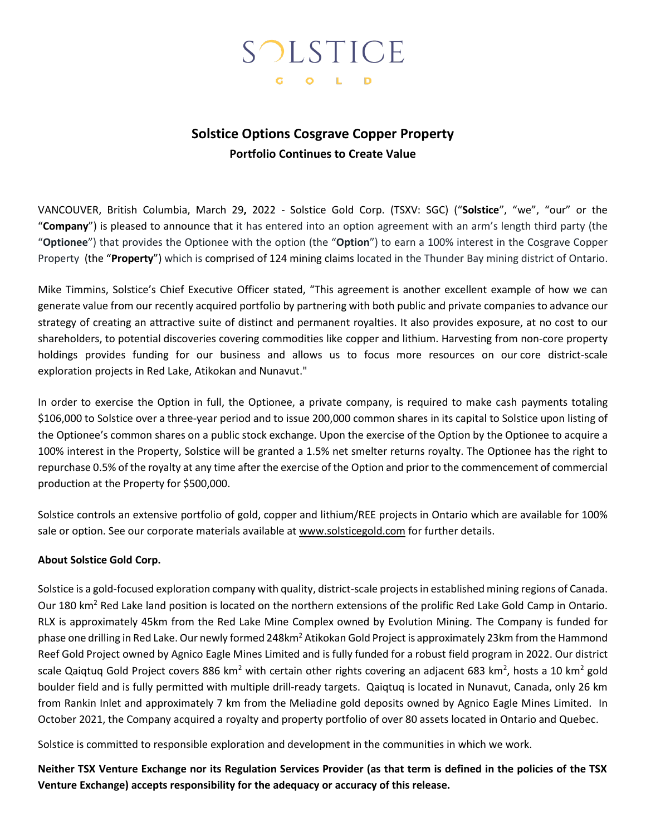# SOLSTICE G O L D

## **Solstice Options Cosgrave Copper Property Portfolio Continues to Create Value**

VANCOUVER, British Columbia, March 29**,** 2022 - Solstice Gold Corp. (TSXV: SGC) ("**Solstice**", "we", "our" or the "**Company**") is pleased to announce that it has entered into an option agreement with an arm's length third party (the "**Optionee**") that provides the Optionee with the option (the "**Option**") to earn a 100% interest in the Cosgrave Copper Property (the "**Property**") which is comprised of 124 mining claims located in the Thunder Bay mining district of Ontario.

Mike Timmins, Solstice's Chief Executive Officer stated, "This agreement is another excellent example of how we can generate value from our recently acquired portfolio by partnering with both public and private companies to advance our strategy of creating an attractive suite of distinct and permanent royalties. It also provides exposure, at no cost to our shareholders, to potential discoveries covering commodities like copper and lithium. Harvesting from non-core property holdings provides funding for our business and allows us to focus more resources on our core district-scale exploration projects in Red Lake, Atikokan and Nunavut."

In order to exercise the Option in full, the Optionee, a private company, is required to make cash payments totaling \$106,000 to Solstice over a three-year period and to issue 200,000 common shares in its capital to Solstice upon listing of the Optionee's common shares on a public stock exchange. Upon the exercise of the Option by the Optionee to acquire a 100% interest in the Property, Solstice will be granted a 1.5% net smelter returns royalty. The Optionee has the right to repurchase 0.5% of the royalty at any time after the exercise of the Option and prior to the commencement of commercial production at the Property for \$500,000.

Solstice controls an extensive portfolio of gold, copper and lithium/REE projects in Ontario which are available for 100% sale or option. See our corporate materials available at www.solsticegold.com for further details.

### **About Solstice Gold Corp.**

Solstice is a gold-focused exploration company with quality, district-scale projects in established mining regions of Canada. Our 180 km<sup>2</sup> Red Lake land position is located on the northern extensions of the prolific Red Lake Gold Camp in Ontario. RLX is approximately 45km from the Red Lake Mine Complex owned by Evolution Mining. The Company is funded for phase one drilling in Red Lake. Our newly formed 248km<sup>2</sup> Atikokan Gold Project is approximately 23km from the Hammond Reef Gold Project owned by Agnico Eagle Mines Limited and is fully funded for a robust field program in 2022. Our district scale Qaiqtuq Gold Project covers 886 km<sup>2</sup> with certain other rights covering an adjacent 683 km<sup>2</sup>, hosts a 10 km<sup>2</sup> gold boulder field and is fully permitted with multiple drill-ready targets. Qaiqtuq is located in Nunavut, Canada, only 26 km from Rankin Inlet and approximately 7 km from the Meliadine gold deposits owned by Agnico Eagle Mines Limited. In October 2021, the Company acquired a royalty and property portfolio of over 80 assets located in Ontario and Quebec.

Solstice is committed to responsible exploration and development in the communities in which we work.

**Neither TSX Venture Exchange nor its Regulation Services Provider (as that term is defined in the policies of the TSX Venture Exchange) accepts responsibility for the adequacy or accuracy of this release.**